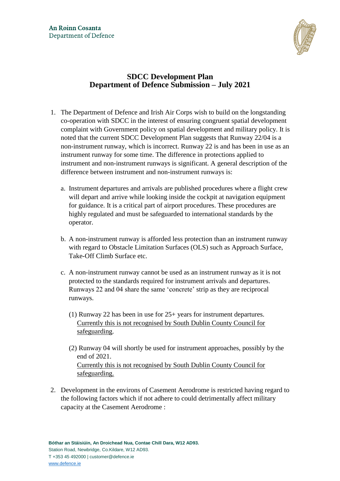

# **SDCC Development Plan Department of Defence Submission – July 2021**

- 1. The Department of Defence and Irish Air Corps wish to build on the longstanding co-operation with SDCC in the interest of ensuring congruent spatial development complaint with Government policy on spatial development and military policy. It is noted that the current SDCC Development Plan suggests that Runway 22/04 is a non-instrument runway, which is incorrect. Runway 22 is and has been in use as an instrument runway for some time. The difference in protections applied to instrument and non-instrument runways is significant. A general description of the difference between instrument and non-instrument runways is:
	- a. Instrument departures and arrivals are published procedures where a flight crew will depart and arrive while looking inside the cockpit at navigation equipment for guidance. It is a critical part of airport procedures. These procedures are highly regulated and must be safeguarded to international standards by the operator.
	- b. A non-instrument runway is afforded less protection than an instrument runway with regard to Obstacle Limitation Surfaces (OLS) such as Approach Surface, Take-Off Climb Surface etc.
	- c. A non-instrument runway cannot be used as an instrument runway as it is not protected to the standards required for instrument arrivals and departures. Runways 22 and 04 share the same 'concrete' strip as they are reciprocal runways.
		- (1) Runway 22 has been in use for 25+ years for instrument departures. Currently this is not recognised by South Dublin County Council for safeguarding.
		- (2) Runway 04 will shortly be used for instrument approaches, possibly by the end of 2021. Currently this is not recognised by South Dublin County Council for safeguarding.
- 2. Development in the environs of Casement Aerodrome is restricted having regard to the following factors which if not adhere to could detrimentally affect military capacity at the Casement Aerodrome :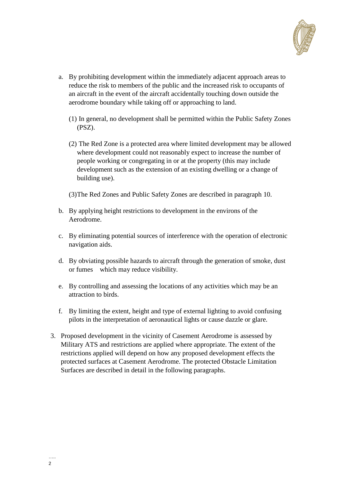

- a. By prohibiting development within the immediately adjacent approach areas to reduce the risk to members of the public and the increased risk to occupants of an aircraft in the event of the aircraft accidentally touching down outside the aerodrome boundary while taking off or approaching to land.
	- (1) In general, no development shall be permitted within the Public Safety Zones (PSZ).
	- (2) The Red Zone is a protected area where limited development may be allowed where development could not reasonably expect to increase the number of people working or congregating in or at the property (this may include development such as the extension of an existing dwelling or a change of building use).
	- (3)The Red Zones and Public Safety Zones are described in paragraph 10.
- b. By applying height restrictions to development in the environs of the Aerodrome.
- c. By eliminating potential sources of interference with the operation of electronic navigation aids.
- d. By obviating possible hazards to aircraft through the generation of smoke, dust or fumes which may reduce visibility.
- e. By controlling and assessing the locations of any activities which may be an attraction to birds.
- f. By limiting the extent, height and type of external lighting to avoid confusing pilots in the interpretation of aeronautical lights or cause dazzle or glare.
- 3. Proposed development in the vicinity of Casement Aerodrome is assessed by Military ATS and restrictions are applied where appropriate. The extent of the restrictions applied will depend on how any proposed development effects the protected surfaces at Casement Aerodrome. The protected Obstacle Limitation Surfaces are described in detail in the following paragraphs.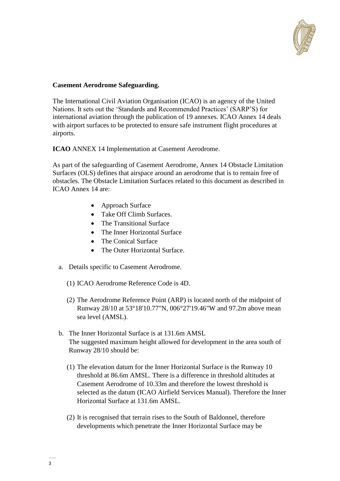

## **Casement Aerodrome Safeguarding.**

The International Civil Aviation Organisation (ICAO) is an agency of the United Nations. It sets out the 'Standards and Recommended Practices' (SARP'S) for international aviation through the publication of 19 annexes. ICAO Annex 14 deals with airport surfaces to be protected to ensure safe instrument flight procedures at airports.

**ICAO** ANNEX 14 Implementation at Casement Aerodrome.

As part of the safeguarding of Casement Aerodrome, Annex 14 Obstacle Limitation Surfaces (OLS) defines that airspace around an aerodrome that is to remain free of obstacles. The Obstacle Limitation Surfaces related to this document as described in ICAO Annex 14 are:

- Approach Surface
- Take Off Climb Surfaces.
- The Transitional Surface
- The Inner Horizontal Surface
- The Conical Surface
- The Outer Horizontal Surface.
- a. Details specific to Casement Aerodrome.
	- (1) ICAO Aerodrome Reference Code is 4D.
	- (2) The Aerodrome Reference Point (ARP) is located north of the midpoint of Runway 28/10 at 53°18'10.77"N, 006°27'19.46"W and 97.2m above mean sea level (AMSL).
- b. The Inner Horizontal Surface is at 131.6m AMSL The suggested maximum height allowed for development in the area south of Runway 28/10 should be:
	- (1) The elevation datum for the Inner Horizontal Surface is the Runway 10 threshold at 86.6m AMSL. There is a difference in threshold altitudes at Casement Aerodrome of 10.33m and therefore the lowest threshold is selected as the datum (ICAO Airfield Services Manual). Therefore the Inner Horizontal Surface at 131.6m AMSL.
	- (2) It is recognised that terrain rises to the South of Baldonnel, therefore developments which penetrate the Inner Horizontal Surface may be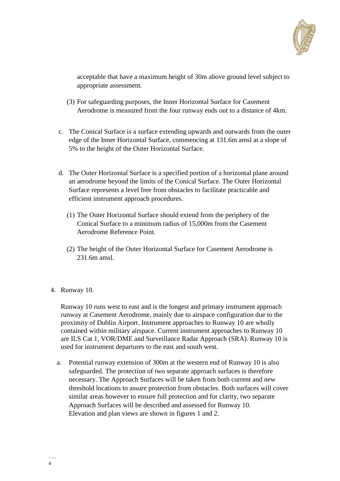

acceptable that have a maximum height of 30m above ground level subject to appropriate assessment.

- (3) For safeguarding purposes, the Inner Horizontal Surface for Casement Aerodrome is measured from the four runway ends out to a distance of 4km.
- c. The Conical Surface is a surface extending upwards and outwards from the outer edge of the Inner Horizontal Surface, commencing at 131.6m amsl at a slope of 5% to the height of the Outer Horizontal Surface.
- d. The Outer Horizontal Surface is a specified portion of a horizontal plane around an aerodrome beyond the limits of the Conical Surface. The Outer Horizontal Surface represents a level free from obstacles to facilitate practicable and efficient instrument approach procedures.
	- (1) The Outer Horizontal Surface should extend from the periphery of the Conical Surface to a minimum radius of 15,000m from the Casement Aerodrome Reference Point.
	- (2) The height of the Outer Horizontal Surface for Casement Aerodrome is 231.6m amsl.
- 4. Runway 10.

Runway 10 runs west to east and is the longest and primary instrument approach runway at Casement Aerodrome, mainly due to airspace configuration due to the proximity of Dublin Airport. Instrument approaches to Runway 10 are wholly contained within military airspace. Current instrument approaches to Runway 10 are ILS Cat 1, VOR/DME and Surveillance Radar Approach (SRA). Runway 10 is used for instrument departures to the east and south west.

a. Potential runway extension of 300m at the western end of Runway 10 is also safeguarded. The protection of two separate approach surfaces is therefore necessary. The Approach Surfaces will be taken from both current and new threshold locations to assure protection from obstacles. Both surfaces will cover similar areas however to ensure full protection and for clarity, two separate Approach Surfaces will be described and assessed for Runway 10. Elevation and plan views are shown in figures 1 and 2.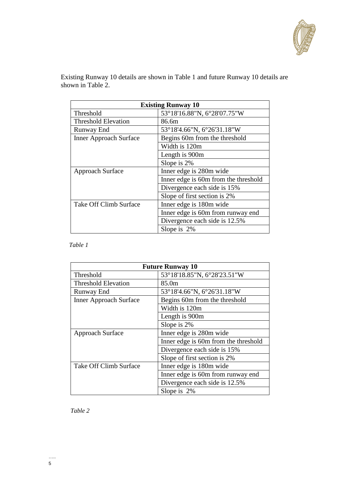

Existing Runway 10 details are shown in Table 1 and future Runway 10 details are shown in Table 2.

| <b>Existing Runway 10</b>     |                                      |  |
|-------------------------------|--------------------------------------|--|
| Threshold                     | 53°18'16.88"N, 6°28'07.75"W          |  |
| <b>Threshold Elevation</b>    | 86.6m                                |  |
| <b>Runway End</b>             | 53°18'4.66"N, 6°26'31.18"W           |  |
| <b>Inner Approach Surface</b> | Begins 60m from the threshold        |  |
|                               | Width is 120m                        |  |
|                               | Length is 900m                       |  |
|                               | Slope is 2%                          |  |
| Approach Surface              | Inner edge is 280m wide              |  |
|                               | Inner edge is 60m from the threshold |  |
|                               | Divergence each side is 15%          |  |
|                               | Slope of first section is 2%         |  |
| <b>Take Off Climb Surface</b> | Inner edge is 180m wide              |  |
|                               | Inner edge is 60m from runway end    |  |
|                               | Divergence each side is 12.5%        |  |
|                               | Slope is $2\%$                       |  |

## *Table 1*

| <b>Future Runway 10</b>       |                                      |  |
|-------------------------------|--------------------------------------|--|
| Threshold                     | 53°18'18.85"N, 6°28'23.51"W          |  |
| <b>Threshold Elevation</b>    | 85.0m                                |  |
| Runway End                    | 53°18'4.66"N, 6°26'31.18"W           |  |
| <b>Inner Approach Surface</b> | Begins 60m from the threshold        |  |
|                               | Width is 120m                        |  |
|                               | Length is 900m                       |  |
|                               | Slope is 2%                          |  |
| Approach Surface              | Inner edge is 280m wide              |  |
|                               | Inner edge is 60m from the threshold |  |
|                               | Divergence each side is 15%          |  |
|                               | Slope of first section is 2%         |  |
| <b>Take Off Climb Surface</b> | Inner edge is 180m wide              |  |
|                               | Inner edge is 60m from runway end    |  |
|                               | Divergence each side is 12.5%        |  |
|                               | Slope is 2%                          |  |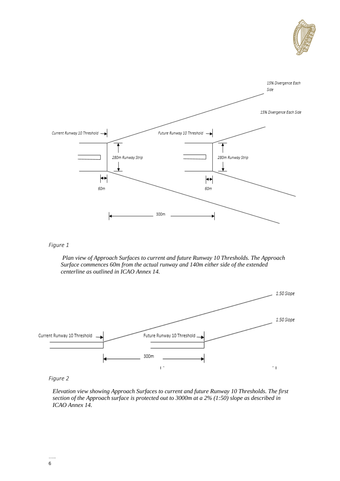



#### *Figure 1*

*Plan view of Approach Surfaces to current and future Runway 10 Thresholds. The Approach Surface commences 60m from the actual runway and 140m either side of the extended centerline as outlined in ICAO Annex 14.*



*Figure 2*

*Elevation view showing Approach Surfaces to current and future Runway 10 Thresholds. The first section of the Approach surface is protected out to 3000m at a 2% (1:50) slope as described in ICAO Annex 14.*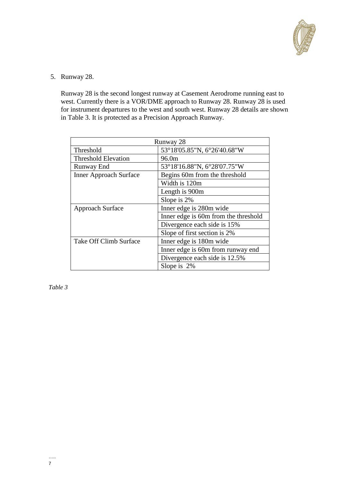

5. Runway 28.

Runway 28 is the second longest runway at Casement Aerodrome running east to west. Currently there is a VOR/DME approach to Runway 28. Runway 28 is used for instrument departures to the west and south west. Runway 28 details are shown in Table 3. It is protected as a Precision Approach Runway.

| Runway 28                     |                                      |  |
|-------------------------------|--------------------------------------|--|
| Threshold                     | 53°18'05.85"N, 6°26'40.68"W          |  |
| <b>Threshold Elevation</b>    | 96.0m                                |  |
| Runway End                    | 53°18'16.88"N, 6°28'07.75"W          |  |
| <b>Inner Approach Surface</b> | Begins 60m from the threshold        |  |
|                               | Width is 120m                        |  |
|                               | Length is 900m                       |  |
|                               | Slope is 2%                          |  |
| Approach Surface              | Inner edge is 280m wide              |  |
|                               | Inner edge is 60m from the threshold |  |
|                               | Divergence each side is 15%          |  |
|                               | Slope of first section is 2%         |  |
| <b>Take Off Climb Surface</b> | Inner edge is 180m wide              |  |
|                               | Inner edge is 60m from runway end    |  |
|                               | Divergence each side is 12.5%        |  |
|                               | Slope is 2%                          |  |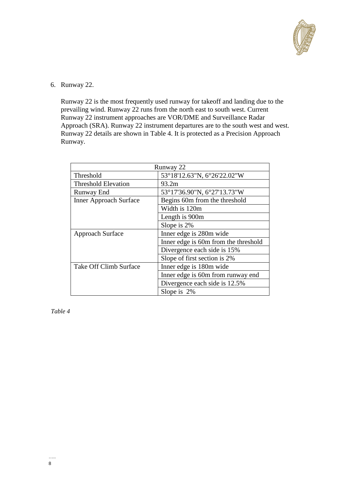

## 6. Runway 22.

Runway 22 is the most frequently used runway for takeoff and landing due to the prevailing wind. Runway 22 runs from the north east to south west. Current Runway 22 instrument approaches are VOR/DME and Surveillance Radar Approach (SRA). Runway 22 instrument departures are to the south west and west. Runway 22 details are shown in Table 4. It is protected as a Precision Approach Runway.

| Runway 22                     |                                                                 |  |
|-------------------------------|-----------------------------------------------------------------|--|
| Threshold                     | 53°18'12.63"N, 6°26'22.02"W                                     |  |
| <b>Threshold Elevation</b>    | 93.2m                                                           |  |
| <b>Runway End</b>             | 53°17'36.90"N, 6°27'13.73"W                                     |  |
| <b>Inner Approach Surface</b> | Begins 60m from the threshold                                   |  |
|                               | Width is 120m                                                   |  |
|                               | Length is 900m                                                  |  |
|                               | Slope is 2%                                                     |  |
| <b>Approach Surface</b>       | Inner edge is 280m wide<br>Inner edge is 60m from the threshold |  |
|                               |                                                                 |  |
|                               | Divergence each side is 15%                                     |  |
|                               | Slope of first section is 2%                                    |  |
| Take Off Climb Surface        | Inner edge is 180m wide                                         |  |
|                               | Inner edge is 60m from runway end                               |  |
|                               | Divergence each side is 12.5%                                   |  |
|                               | Slope is 2%                                                     |  |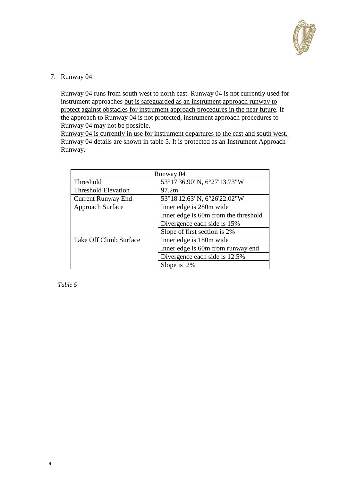

7. Runway 04.

Runway 04 runs from south west to north east. Runway 04 is not currently used for instrument approaches but is safeguarded as an instrument approach runway to protect against obstacles for instrument approach procedures in the near future. If the approach to Runway 04 is not protected, instrument approach procedures to Runway 04 may not be possible.

Runway 04 is currently in use for instrument departures to the east and south west. Runway 04 details are shown in table 5. It is protected as an Instrument Approach Runway.

| Runway 04                  |                                      |  |
|----------------------------|--------------------------------------|--|
| Threshold                  | 53°17'36.90"N, 6°27'13.73"W          |  |
| <b>Threshold Elevation</b> | 97.2m.                               |  |
| <b>Current Runway End</b>  | 53°18'12.63"N, 6°26'22.02"W          |  |
| <b>Approach Surface</b>    | Inner edge is 280m wide              |  |
|                            | Inner edge is 60m from the threshold |  |
|                            | Divergence each side is 15%          |  |
|                            | Slope of first section is 2%         |  |
| Take Off Climb Surface     | Inner edge is 180m wide              |  |
|                            | Inner edge is 60m from runway end    |  |
|                            | Divergence each side is 12.5%        |  |
|                            | Slope is 2%                          |  |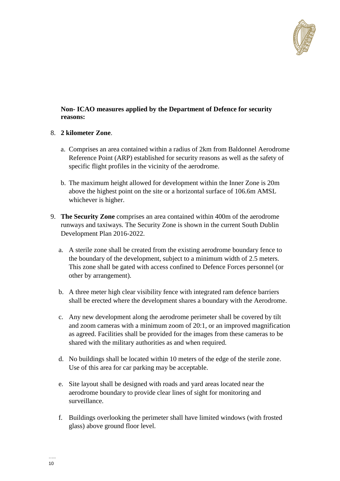

## **Non- ICAO measures applied by the Department of Defence for security reasons:**

## 8. **2 kilometer Zone**.

- a. Comprises an area contained within a radius of 2km from Baldonnel Aerodrome Reference Point (ARP) established for security reasons as well as the safety of specific flight profiles in the vicinity of the aerodrome.
- b. The maximum height allowed for development within the Inner Zone is 20m above the highest point on the site or a horizontal surface of 106.6m AMSL whichever is higher.
- 9. **The Security Zone** comprises an area contained within 400m of the aerodrome runways and taxiways. The Security Zone is shown in the current South Dublin Development Plan 2016-2022.
	- a. A sterile zone shall be created from the existing aerodrome boundary fence to the boundary of the development, subject to a minimum width of 2.5 meters. This zone shall be gated with access confined to Defence Forces personnel (or other by arrangement).
	- b. A three meter high clear visibility fence with integrated ram defence barriers shall be erected where the development shares a boundary with the Aerodrome.
	- c. Any new development along the aerodrome perimeter shall be covered by tilt and zoom cameras with a minimum zoom of 20:1, or an improved magnification as agreed. Facilities shall be provided for the images from these cameras to be shared with the military authorities as and when required.
	- d. No buildings shall be located within 10 meters of the edge of the sterile zone. Use of this area for car parking may be acceptable.
	- e. Site layout shall be designed with roads and yard areas located near the aerodrome boundary to provide clear lines of sight for monitoring and surveillance.
	- f. Buildings overlooking the perimeter shall have limited windows (with frosted glass) above ground floor level.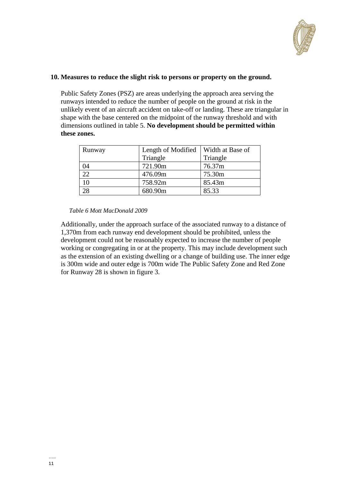

### **10. Measures to reduce the slight risk to persons or property on the ground.**

Public Safety Zones (PSZ) are areas underlying the approach area serving the runways intended to reduce the number of people on the ground at risk in the unlikely event of an aircraft accident on take-off or landing. These are triangular in shape with the base centered on the midpoint of the runway threshold and with dimensions outlined in table 5. **No development should be permitted within these zones.** 

| Runway | Length of Modified   Width at Base of |          |
|--------|---------------------------------------|----------|
|        | Triangle                              | Triangle |
| 04     | 721.90m                               | 76.37m   |
| 22     | 476.09m                               | 75.30m   |
| 10     | 758.92m                               | 85.43m   |
|        | 680.90m                               | 85.33    |

#### *Table 6 Mott MacDonald 2009*

Additionally, under the approach surface of the associated runway to a distance of 1,370m from each runway end development should be prohibited, unless the development could not be reasonably expected to increase the number of people working or congregating in or at the property. This may include development such as the extension of an existing dwelling or a change of building use. The inner edge is 300m wide and outer edge is 700m wide The Public Safety Zone and Red Zone for Runway 28 is shown in figure 3.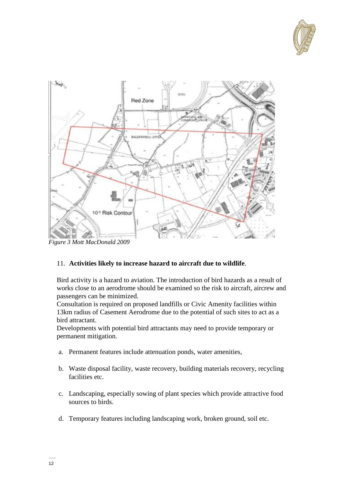



*Figure 3 Mott MacDonald 2009*

## 11. **Activities likely to increase hazard to aircraft due to wildlife**.

Bird activity is a hazard to aviation. The introduction of bird hazards as a result of works close to an aerodrome should be examined so the risk to aircraft, aircrew and passengers can be minimized.

Consultation is required on proposed landfills or Civic Amenity facilities within 13km radius of Casement Aerodrome due to the potential of such sites to act as a bird attractant.

Developments with potential bird attractants may need to provide temporary or permanent mitigation.

- a. Permanent features include attenuation ponds, water amenities,
- b. Waste disposal facility, waste recovery, building materials recovery, recycling facilities etc.
- c. Landscaping, especially sowing of plant species which provide attractive food sources to birds.
- d. Temporary features including landscaping work, broken ground, soil etc.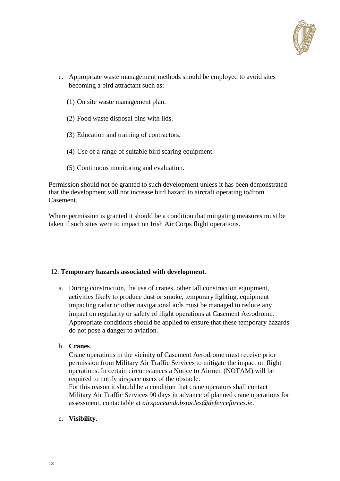

- e. Appropriate waste management methods should be employed to avoid sites becoming a bird attractant such as:
	- (1) On site waste management plan.
	- (2) Food waste disposal bins with lids.
	- (3) Education and training of contractors.
	- (4) Use of a range of suitable bird scaring equipment.
	- (5) Continuous monitoring and evaluation.

Permission should not be granted to such development unless it has been demonstrated that the development will not increase bird hazard to aircraft operating to/from Casement.

Where permission is granted it should be a condition that mitigating measures must be taken if such sites were to impact on Irish Air Corps flight operations.

#### 12. **Temporary hazards associated with development**.

- a. During construction, the use of cranes, other tall construction equipment, activities likely to produce dust or smoke, temporary lighting, equipment impacting radar or other navigational aids must be managed to reduce any impact on regularity or safety of flight operations at Casement Aerodrome. Appropriate conditions should be applied to ensure that these temporary hazards do not pose a danger to aviation.
- b. **Cranes**.

Crane operations in the vicinity of Casement Aerodrome must receive prior permission from Military Air Traffic Services to mitigate the impact on flight operations. In certain circumstances a Notice to Airmen (NOTAM) will be required to notify airspace users of the obstacle.

For this reason it should be a condition that crane operators shall contact Military Air Traffic Services 90 days in advance of planned crane operations for assessment, contactable at *[airspaceandobstacles@defenceforces.ie](mailto:airspaceandobstacles@defenceforces.ie)*.

c. **Visibility**.